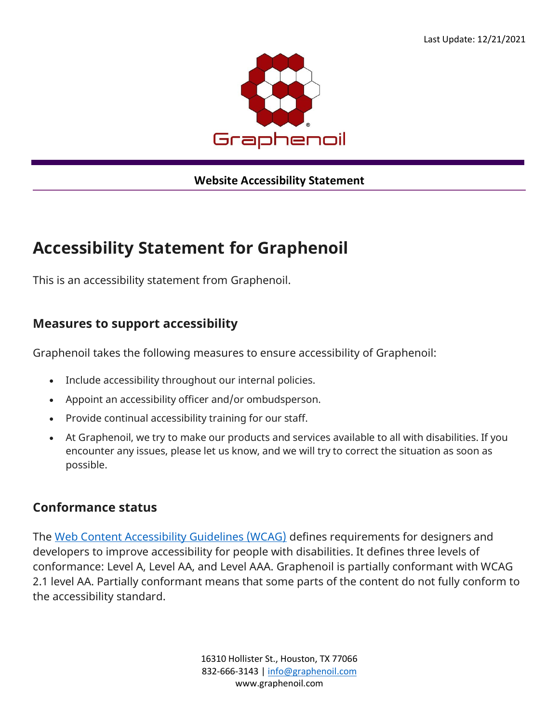

#### **Website Accessibility Statement**

# **Accessibility Statement for Graphenoil**

This is an accessibility statement from Graphenoil.

#### **Measures to support accessibility**

Graphenoil takes the following measures to ensure accessibility of Graphenoil:

- Include accessibility throughout our internal policies.
- Appoint an accessibility officer and/or ombudsperson.
- Provide continual accessibility training for our staff.
- At Graphenoil, we try to make our products and services available to all with disabilities. If you encounter any issues, please let us know, and we will try to correct the situation as soon as possible.

#### **Conformance status**

The [Web Content Accessibility Guidelines \(WCAG\)](https://www.w3.org/WAI/standards-guidelines/wcag/) defines requirements for designers and developers to improve accessibility for people with disabilities. It defines three levels of conformance: Level A, Level AA, and Level AAA. Graphenoil is partially conformant with WCAG 2.1 level AA. Partially conformant means that some parts of the content do not fully conform to the accessibility standard.

> 16310 Hollister St., Houston, TX 77066 832-666-3143 [| info@graphenoil.com](mailto:info@graphenoil.com) www.graphenoil.com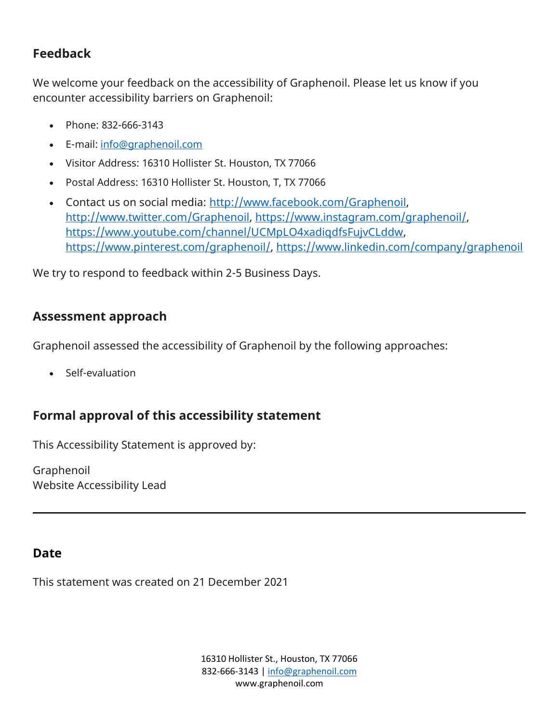## **Feedback**

We welcome your feedback on the accessibility of Graphenoil. Please let us know if you encounter accessibility barriers on Graphenoil:

- Phone: 832-666-3143
- E-mail: [info@graphenoil.com](mailto:info@graphenoil.cominfo@graphenoil.com)
- Visitor Address: 16310 Hollister St. Houston, TX 77066
- Postal Address: 16310 Hollister St. Houston, T, TX 77066
- Contact us on social media: [http://www.facebook.com/Graphenoil,](http://www.facebook.com/Graphenoil) [http://www.twitter.com/Graphenoil,](http://www.twitter.com/Graphenoil) [https://www.instagram.com/graphenoil/,](https://www.instagram.com/graphenoil/) [https://www.youtube.com/channel/UCMpLO4xadiqdfsFujvCLddw,](https://www.youtube.com/channel/UCMpLO4xadiqdfsFujvCLddw) [https://www.pinterest.com/graphenoil/,](https://www.pinterest.com/graphenoil/)<https://www.linkedin.com/company/graphenoil>

We try to respond to feedback within 2-5 Business Days.

### **Assessment approach**

Graphenoil assessed the accessibility of Graphenoil by the following approaches:

• Self-evaluation

## **Formal approval of this accessibility statement**

This Accessibility Statement is approved by:

Graphenoil Website Accessibility Lead

### **Date**

This statement was created on 21 December 2021

16310 Hollister St., Houston, TX 77066 832-666-3143 [| info@graphenoil.com](mailto:info@graphenoil.com) www.graphenoil.com